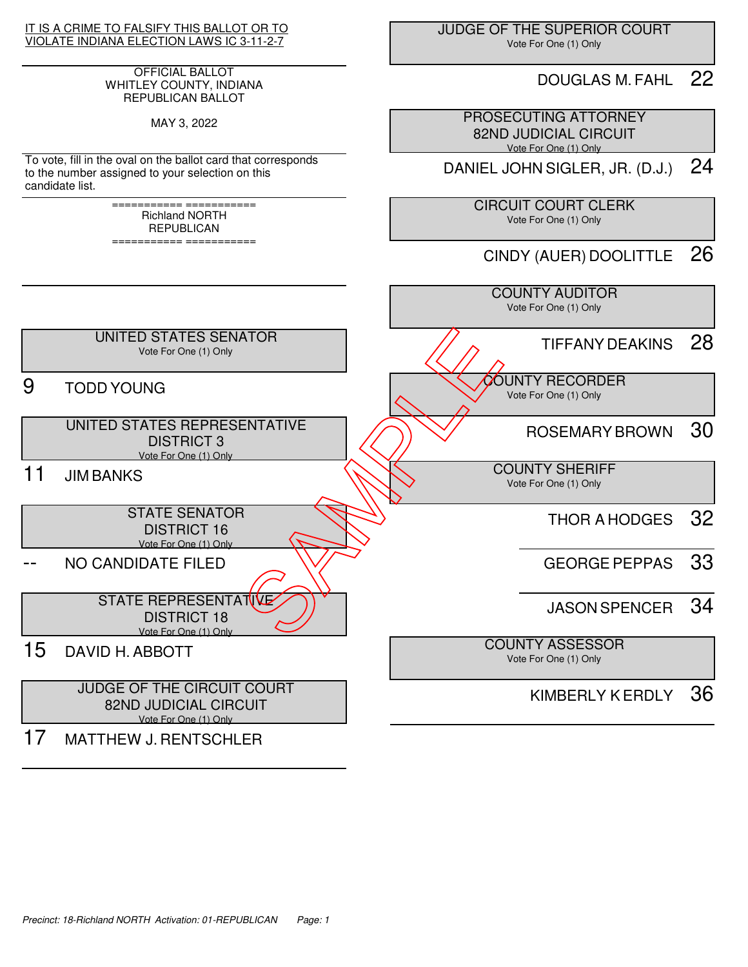

## OFFICIAL BALLOT WHITLEY COUNTY, INDIANA REPUBLICAN BALLOT

MAY 3, 2022

To vote, fill in the oval on the ballot card that corresponds to the number assigned to your selection on this candidate list.

> =========== =========== Richland NORTH REPUBLICAN

> =========== ===========

 JUDGE OF THE SUPERIOR COURT Vote For One (1) Only

## DOUGLAS M. FAHL 22

 PROSECUTING ATTORNEY 82ND JUDICIAL CIRCUIT Vote For One (1) Only

DANIEL JOHN SIGLER, JR. (D.J.) 24

 CIRCUIT COURT CLERK Vote For One (1) Only

CINDY (AUER) DOOLITTLE 26

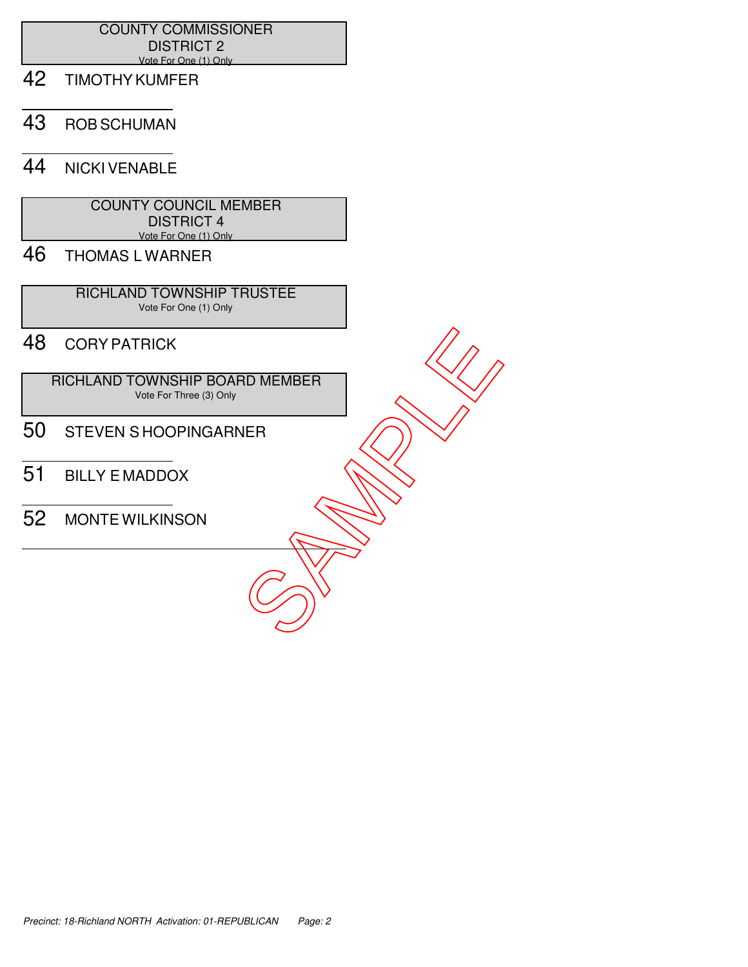## COUNTY COMMISSIONER DISTRICT 2 Vote For One (1) Only

- 42 TIMOTHY KUMFER
- 43 ROB SCHUMAN

## 44 NICKI VENABLE

 COUNTY COUNCIL MEMBER DISTRICT 4 Vote For One (1) Only

46 THOMAS L WARNER

 RICHLAND TOWNSHIP TRUSTEE Vote For One (1) Only

48 CORY PATRICK

 RICHLAND TOWNSHIP BOARD MEMBER Vote For Three (3) Only 48 CORY PATRICK<br>
RICHLAND TOWNSHIP BOARD MEMBER<br>
50 STEVEN S HOOPINGARNER<br>
51 BILLY EMADDOX<br>
52 MONTE WILKINSON<br>
CON

- 50 STEVEN S HOOPINGARNER
- 51 BILLY E MADDOX
-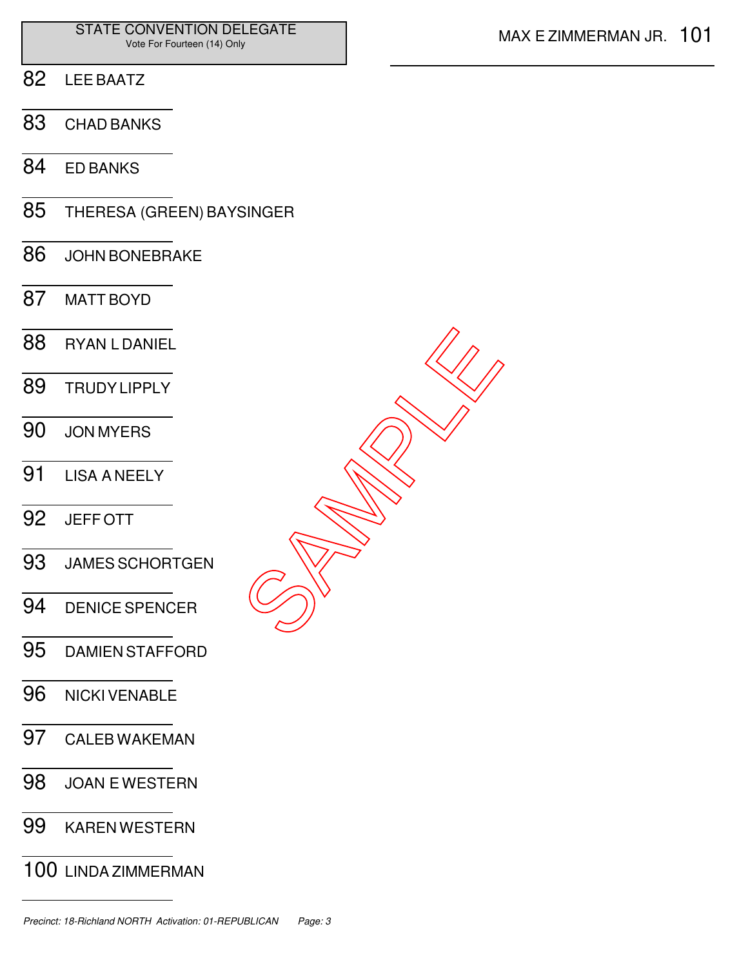- LEE BAATZ
- CHAD BANKS
- ED BANKS
- THERESA (GREEN) BAYSINGER
- JOHN BONEBRAKE
- MATT BOYD
- RYAN L DANIEL TRUDY LIPPLY JON MYERS LISA A NEELY JEFF OTT JAMES SCHORTGEN DENICE SPENCER DAMIEN STAFFORD SAMPLE<br>SAMPLE
- NICKI VENABLE
- CALEB WAKEMAN
- JOAN E WESTERN
- KAREN WESTERN
- LINDA ZIMMERMAN

Precinct: 18-Richland NORTH Activation: 01-REPUBLICAN Page: 3